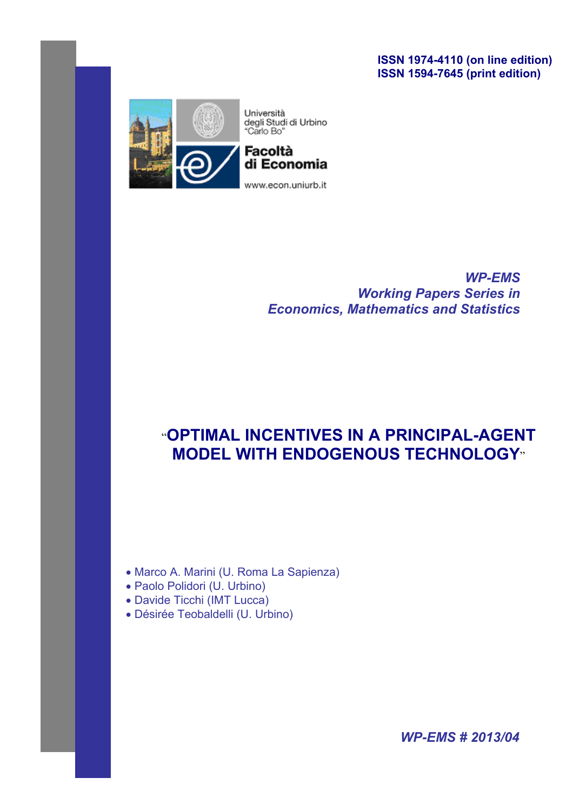**ISSN 1974-4110 (on line edition) ISSN 1594-7645 (print edition)**



*WP-EMS Working Papers Series in Economics, Mathematics and Statistics*

# "**OPTIMAL INCENTIVES IN A PRINCIPAL-AGENT MODEL WITH ENDOGENOUS TECHNOLOGY**"

- Marco A. Marini (U. Roma La Sapienza)
- Paolo Polidori (U. Urbino)
- Davide Ticchi (IMT Lucca)
- Désirée Teobaldelli (U. Urbino)

*WP-EMS # 2013/04*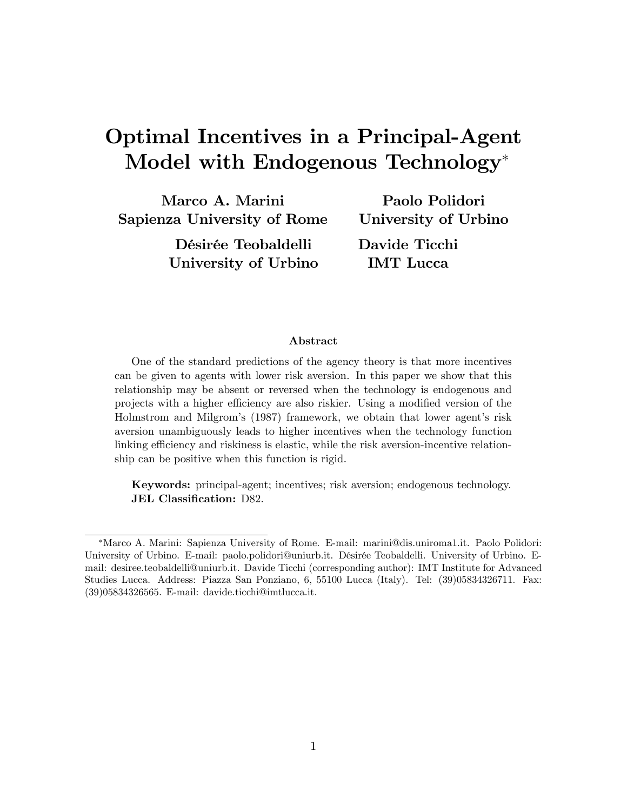# Optimal Incentives in a Principal-Agent Model with Endogenous Technology

Marco A. Marini Sapienza University of Rome

> Désirée Teobaldelli University of Urbino

Paolo Polidori University of Urbino

Davide Ticchi IMT Lucca

#### Abstract

One of the standard predictions of the agency theory is that more incentives can be given to agents with lower risk aversion. In this paper we show that this relationship may be absent or reversed when the technology is endogenous and projects with a higher efficiency are also riskier. Using a modified version of the Holmstrom and Milgrom's (1987) framework, we obtain that lower agent's risk aversion unambiguously leads to higher incentives when the technology function linking efficiency and riskiness is elastic, while the risk aversion-incentive relationship can be positive when this function is rigid.

Keywords: principal-agent; incentives; risk aversion; endogenous technology. JEL Classification: D82.

Marco A. Marini: Sapienza University of Rome. E-mail: marini@dis.uniroma1.it. Paolo Polidori: University of Urbino. E-mail: paolo.polidori@uniurb.it. Désirée Teobaldelli. University of Urbino. Email: desiree.teobaldelli@uniurb.it. Davide Ticchi (corresponding author): IMT Institute for Advanced Studies Lucca. Address: Piazza San Ponziano, 6, 55100 Lucca (Italy). Tel: (39)05834326711. Fax: (39)05834326565. E-mail: davide.ticchi@imtlucca.it.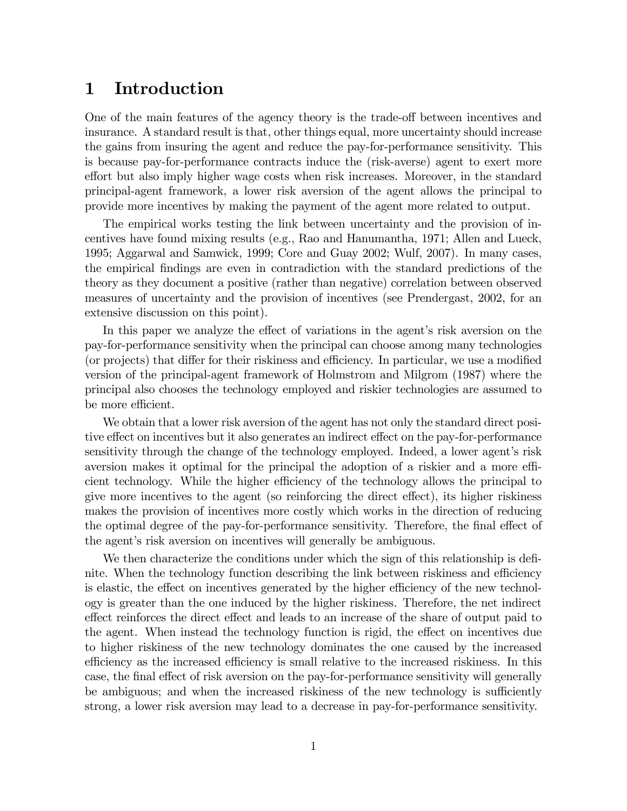### 1 Introduction

One of the main features of the agency theory is the trade-off between incentives and insurance. A standard result is that, other things equal, more uncertainty should increase the gains from insuring the agent and reduce the pay-for-performance sensitivity. This is because pay-for-performance contracts induce the (risk-averse) agent to exert more effort but also imply higher wage costs when risk increases. Moreover, in the standard principal-agent framework, a lower risk aversion of the agent allows the principal to provide more incentives by making the payment of the agent more related to output.

The empirical works testing the link between uncertainty and the provision of incentives have found mixing results (e.g., Rao and Hanumantha, 1971; Allen and Lueck, 1995; Aggarwal and Samwick, 1999; Core and Guay 2002; Wulf, 2007). In many cases, the empirical Öndings are even in contradiction with the standard predictions of the theory as they document a positive (rather than negative) correlation between observed measures of uncertainty and the provision of incentives (see Prendergast, 2002, for an extensive discussion on this point).

In this paper we analyze the effect of variations in the agent's risk aversion on the pay-for-performance sensitivity when the principal can choose among many technologies (or projects) that differ for their riskiness and efficiency. In particular, we use a modified version of the principal-agent framework of Holmstrom and Milgrom (1987) where the principal also chooses the technology employed and riskier technologies are assumed to be more efficient.

We obtain that a lower risk aversion of the agent has not only the standard direct positive effect on incentives but it also generates an indirect effect on the pay-for-performance sensitivity through the change of the technology employed. Indeed, a lower agent's risk aversion makes it optimal for the principal the adoption of a riskier and a more efficient technology. While the higher efficiency of the technology allows the principal to give more incentives to the agent (so reinforcing the direct effect), its higher riskiness makes the provision of incentives more costly which works in the direction of reducing the optimal degree of the pay-for-performance sensitivity. Therefore, the final effect of the agent's risk aversion on incentives will generally be ambiguous.

We then characterize the conditions under which the sign of this relationship is definite. When the technology function describing the link between riskiness and efficiency is elastic, the effect on incentives generated by the higher efficiency of the new technology is greater than the one induced by the higher riskiness. Therefore, the net indirect effect reinforces the direct effect and leads to an increase of the share of output paid to the agent. When instead the technology function is rigid, the effect on incentives due to higher riskiness of the new technology dominates the one caused by the increased efficiency as the increased efficiency is small relative to the increased riskiness. In this case, the final effect of risk aversion on the pay-for-performance sensitivity will generally be ambiguous; and when the increased riskiness of the new technology is sufficiently strong, a lower risk aversion may lead to a decrease in pay-for-performance sensitivity.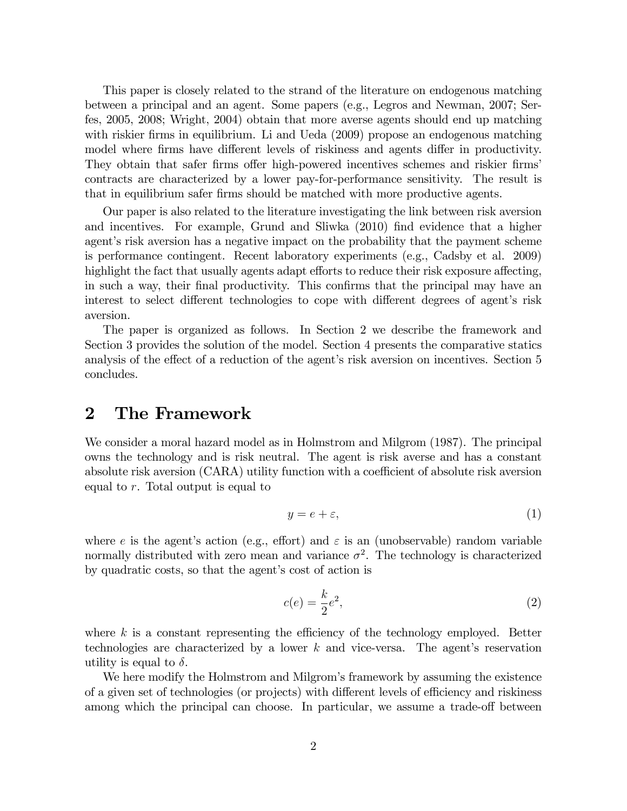This paper is closely related to the strand of the literature on endogenous matching between a principal and an agent. Some papers (e.g., Legros and Newman, 2007; Serfes, 2005, 2008; Wright, 2004) obtain that more averse agents should end up matching with riskier firms in equilibrium. Li and Ueda (2009) propose an endogenous matching model where firms have different levels of riskiness and agents differ in productivity. They obtain that safer firms offer high-powered incentives schemes and riskier firms contracts are characterized by a lower pay-for-performance sensitivity. The result is that in equilibrium safer Örms should be matched with more productive agents.

Our paper is also related to the literature investigating the link between risk aversion and incentives. For example, Grund and Sliwka (2010) find evidence that a higher agent's risk aversion has a negative impact on the probability that the payment scheme is performance contingent. Recent laboratory experiments (e.g., Cadsby et al. 2009) highlight the fact that usually agents adapt efforts to reduce their risk exposure affecting, in such a way, their final productivity. This confirms that the principal may have an interest to select different technologies to cope with different degrees of agent's risk aversion.

The paper is organized as follows. In Section 2 we describe the framework and Section 3 provides the solution of the model. Section 4 presents the comparative statics analysis of the effect of a reduction of the agent's risk aversion on incentives. Section 5 concludes.

#### 2 The Framework

We consider a moral hazard model as in Holmstrom and Milgrom (1987). The principal owns the technology and is risk neutral. The agent is risk averse and has a constant absolute risk aversion (CARA) utility function with a coefficient of absolute risk aversion equal to r. Total output is equal to

$$
y = e + \varepsilon,\tag{1}
$$

where e is the agent's action (e.g., effort) and  $\varepsilon$  is an (unobservable) random variable normally distributed with zero mean and variance  $\sigma^2$ . The technology is characterized by quadratic costs, so that the agent's cost of action is

$$
c(e) = \frac{k}{2}e^2,\tag{2}
$$

where  $k$  is a constant representing the efficiency of the technology employed. Better technologies are characterized by a lower  $k$  and vice-versa. The agent's reservation utility is equal to  $\delta$ .

We here modify the Holmstrom and Milgrom's framework by assuming the existence of a given set of technologies (or projects) with different levels of efficiency and riskiness among which the principal can choose. In particular, we assume a trade-off between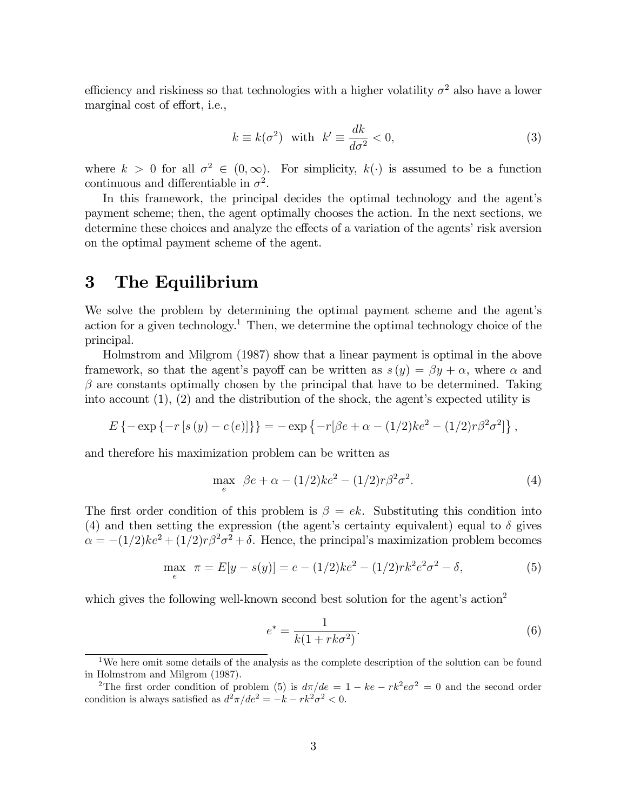efficiency and riskiness so that technologies with a higher volatility  $\sigma^2$  also have a lower marginal cost of effort, i.e.,

$$
k \equiv k(\sigma^2) \quad \text{with} \quad k' \equiv \frac{dk}{d\sigma^2} < 0,\tag{3}
$$

where  $k > 0$  for all  $\sigma^2 \in (0, \infty)$ . For simplicity,  $k(\cdot)$  is assumed to be a function continuous and differentiable in  $\sigma^2$ .

In this framework, the principal decides the optimal technology and the agent's payment scheme; then, the agent optimally chooses the action. In the next sections, we determine these choices and analyze the effects of a variation of the agents' risk aversion on the optimal payment scheme of the agent.

### 3 The Equilibrium

We solve the problem by determining the optimal payment scheme and the agent's action for a given technology.<sup>1</sup> Then, we determine the optimal technology choice of the principal.

Holmstrom and Milgrom (1987) show that a linear payment is optimal in the above framework, so that the agent's payoff can be written as  $s(y) = \beta y + \alpha$ , where  $\alpha$  and  $\beta$  are constants optimally chosen by the principal that have to be determined. Taking into account  $(1)$ ,  $(2)$  and the distribution of the shock, the agent's expected utility is

$$
E\{-\exp\{-r[s(y)-c(e)]\}\} = -\exp\{-r[\beta e + \alpha - (1/2)ke^2 - (1/2)r\beta^2\sigma^2]\},\,
$$

and therefore his maximization problem can be written as

$$
\max_{e} \ \beta e + \alpha - (1/2)ke^2 - (1/2)r\beta^2\sigma^2. \tag{4}
$$

The first order condition of this problem is  $\beta = ek$ . Substituting this condition into (4) and then setting the expression (the agent's certainty equivalent) equal to  $\delta$  gives  $\alpha = -(1/2)ke^2 + (1/2)r\beta^2\sigma^2 + \delta$ . Hence, the principal's maximization problem becomes

$$
\max_{e} \ \pi = E[y - s(y)] = e - (1/2)ke^2 - (1/2)rk^2e^2\sigma^2 - \delta,\tag{5}
$$

which gives the following well-known second best solution for the agent's  $\arctan^2$ 

$$
e^* = \frac{1}{k(1 + rk\sigma^2)}.\tag{6}
$$

<sup>&</sup>lt;sup>1</sup>We here omit some details of the analysis as the complete description of the solution can be found in Holmstrom and Milgrom (1987).

<sup>&</sup>lt;sup>2</sup>The first order condition of problem (5) is  $d\pi/de = 1 - ke - rk^2e\sigma^2 = 0$  and the second order condition is always satisfied as  $d^2\pi/de^2 = -k - rk^2\sigma^2 < 0$ .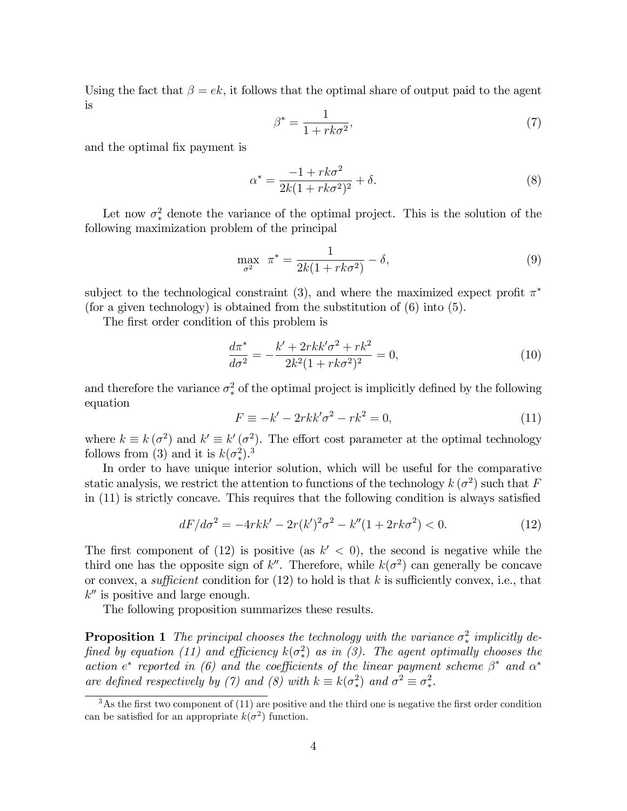Using the fact that  $\beta = ek$ , it follows that the optimal share of output paid to the agent is

$$
\beta^* = \frac{1}{1 + rk\sigma^2},\tag{7}
$$

and the optimal fix payment is

$$
\alpha^* = \frac{-1 + rk\sigma^2}{2k(1 + rk\sigma^2)^2} + \delta.
$$
 (8)

Let now  $\sigma^2$  denote the variance of the optimal project. This is the solution of the following maximization problem of the principal

$$
\max_{\sigma^2} \ \pi^* = \frac{1}{2k(1 + rk\sigma^2)} - \delta,\tag{9}
$$

subject to the technological constraint (3), and where the maximized expect profit  $\pi^*$ (for a given technology) is obtained from the substitution of (6) into (5).

The first order condition of this problem is

$$
\frac{d\pi^*}{d\sigma^2} = -\frac{k' + 2rk k'\sigma^2 + rk^2}{2k^2(1 + rk\sigma^2)^2} = 0,
$$
\n(10)

and therefore the variance  $\sigma_*^2$  of the optimal project is implicitly defined by the following equation

$$
F \equiv -k' - 2rk k'\sigma^2 - rk^2 = 0,\tag{11}
$$

where  $k \equiv k(\sigma^2)$  and  $k' \equiv k'(\sigma^2)$ . The effort cost parameter at the optimal technology follows from (3) and it is  $k(\sigma^2_*)$ .<sup>3</sup>

In order to have unique interior solution, which will be useful for the comparative static analysis, we restrict the attention to functions of the technology  $k(\sigma^2)$  such that F in  $(11)$  is strictly concave. This requires that the following condition is always satisfied

$$
dF/d\sigma^2 = -4rk k' - 2r(k')^2 \sigma^2 - k''(1 + 2rk\sigma^2) < 0. \tag{12}
$$

The first component of (12) is positive (as  $k' < 0$ ), the second is negative while the third one has the opposite sign of k''. Therefore, while  $k(\sigma^2)$  can generally be concave or convex, a sufficient condition for  $(12)$  to hold is that k is sufficiently convex, i.e., that  $k''$  is positive and large enough.

The following proposition summarizes these results.

**Proposition 1** The principal chooses the technology with the variance  $\sigma^2$  implicitly defined by equation (11) and efficiency  $k(\sigma_x^2)$  as in (3). The agent optimally chooses the action  $e^*$  reported in (6) and the coefficients of the linear payment scheme  $\beta^*$  and  $\alpha^*$ are defined respectively by (7) and (8) with  $k \equiv k(\sigma_*^2)$  $\binom{2}{*}$  and  $\sigma^2 \equiv \sigma_*^2$  $\frac{2}{*}$ .

 $3\text{As the first two component of (11) are positive and the third one is negative the first order condition.}$ can be satisfied for an appropriate  $k(\sigma^2)$  function.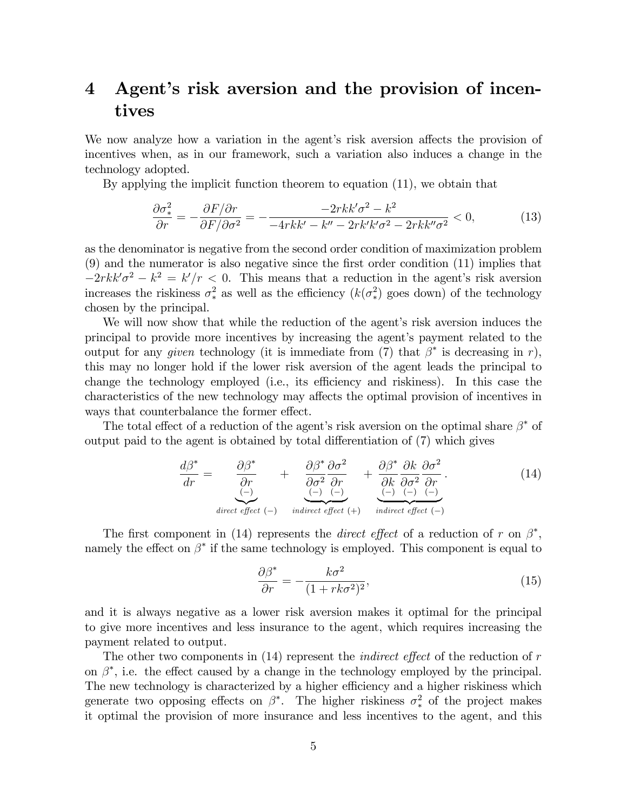## 4 Agent's risk aversion and the provision of incentives

We now analyze how a variation in the agent's risk aversion affects the provision of incentives when, as in our framework, such a variation also induces a change in the technology adopted.

By applying the implicit function theorem to equation (11), we obtain that

$$
\frac{\partial \sigma_*^2}{\partial r} = -\frac{\partial F/\partial r}{\partial F/\partial \sigma^2} = -\frac{-2rk k'\sigma^2 - k^2}{-4rk k' - k'' - 2rk'k'\sigma^2 - 2rk k''\sigma^2} < 0,\tag{13}
$$

as the denominator is negative from the second order condition of maximization problem  $(9)$  and the numerator is also negative since the first order condition  $(11)$  implies that  $-2rk^{\prime}\sigma^{2} - k^{2} = k^{\prime}/r < 0$ . This means that a reduction in the agent's risk aversion increases the riskiness  $\sigma_*^2$  as well as the efficiency  $(k(\sigma_*^2))$  $(*)$  goes down) of the technology chosen by the principal.

We will now show that while the reduction of the agent's risk aversion induces the principal to provide more incentives by increasing the agent's payment related to the output for any *given* technology (it is immediate from (7) that  $\beta^*$  is decreasing in r), this may no longer hold if the lower risk aversion of the agent leads the principal to change the technology employed (i.e., its efficiency and riskiness). In this case the characteristics of the new technology may affects the optimal provision of incentives in ways that counterbalance the former effect.

The total effect of a reduction of the agent's risk aversion on the optimal share  $\beta^*$  of output paid to the agent is obtained by total differentiation of  $(7)$  which gives

$$
\frac{d\beta^*}{dr} = \frac{\partial\beta^*}{\partial r} + \frac{\partial\beta^*}{\partial\sigma^2}\frac{\partial\sigma^2}{\partial r} + \frac{\partial\beta^*}{\partial k}\frac{\partial k}{\partial\sigma^2}\frac{\partial\sigma^2}{\partial r}.
$$
\n(14)\n  
\ndirect effect (-)\n  
\n
$$
\frac{d\beta^*}{dr} = \frac{\partial\beta^*}{dr} + \frac{\partial\beta^*}{\partial k}\frac{\partial k}{\partial\sigma^2}\frac{\partial\sigma^2}{\partial r}.
$$
\n(15)

The first component in (14) represents the *direct effect* of a reduction of r on  $\beta^*$ , namely the effect on  $\beta^*$  if the same technology is employed. This component is equal to

$$
\frac{\partial \beta^*}{\partial r} = -\frac{k\sigma^2}{(1 + rk\sigma^2)^2},\tag{15}
$$

and it is always negative as a lower risk aversion makes it optimal for the principal to give more incentives and less insurance to the agent, which requires increasing the payment related to output.

The other two components in  $(14)$  represent the *indirect effect* of the reduction of r on  $\beta^*$ , i.e. the effect caused by a change in the technology employed by the principal. The new technology is characterized by a higher efficiency and a higher riskiness which generate two opposing effects on  $\beta^*$ . The higher riskiness  $\sigma_*^2$  of the project makes it optimal the provision of more insurance and less incentives to the agent, and this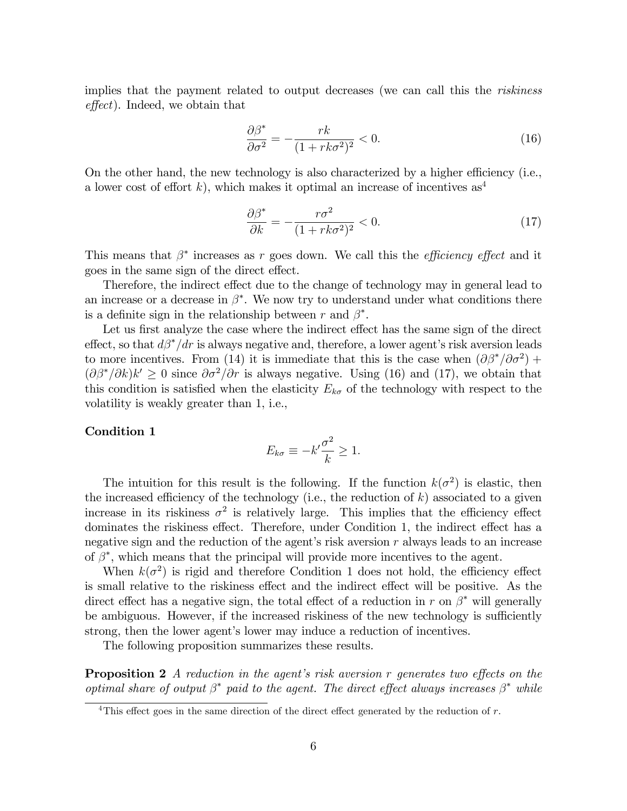implies that the payment related to output decreases (we can call this the riskiness  $effect$ ). Indeed, we obtain that

$$
\frac{\partial \beta^*}{\partial \sigma^2} = -\frac{rk}{(1 + rk\sigma^2)^2} < 0. \tag{16}
$$

On the other hand, the new technology is also characterized by a higher efficiency (i.e., a lower cost of effort k), which makes it optimal an increase of incentives  $as<sup>4</sup>$ 

$$
\frac{\partial \beta^*}{\partial k} = -\frac{r\sigma^2}{(1 + rk\sigma^2)^2} < 0. \tag{17}
$$

This means that  $\beta^*$  increases as r goes down. We call this the *efficiency effect* and it goes in the same sign of the direct effect.

Therefore, the indirect effect due to the change of technology may in general lead to an increase or a decrease in  $\beta^*$ . We now try to understand under what conditions there is a definite sign in the relationship between r and  $\beta^*$ .

Let us first analyze the case where the indirect effect has the same sign of the direct effect, so that  $d\beta^*/dr$  is always negative and, therefore, a lower agent's risk aversion leads to more incentives. From (14) it is immediate that this is the case when  $(\partial \beta^*/\partial \sigma^2)$  +  $(\partial \beta^*/\partial k)k' \geq 0$  since  $\partial \sigma^2/\partial r$  is always negative. Using (16) and (17), we obtain that this condition is satisfied when the elasticity  $E_{k\sigma}$  of the technology with respect to the volatility is weakly greater than 1, i.e.,

#### Condition 1

$$
E_{k\sigma} \equiv -k'\frac{\sigma^2}{k} \ge 1.
$$

The intuition for this result is the following. If the function  $k(\sigma^2)$  is elastic, then the increased efficiency of the technology (i.e., the reduction of  $k$ ) associated to a given increase in its riskiness  $\sigma^2$  is relatively large. This implies that the efficiency effect dominates the riskiness effect. Therefore, under Condition 1, the indirect effect has a negative sign and the reduction of the agent's risk aversion  $r$  always leads to an increase of  $\beta^*$ , which means that the principal will provide more incentives to the agent.

When  $k(\sigma^2)$  is rigid and therefore Condition 1 does not hold, the efficiency effect is small relative to the riskiness effect and the indirect effect will be positive. As the direct effect has a negative sign, the total effect of a reduction in r on  $\beta^*$  will generally be ambiguous. However, if the increased riskiness of the new technology is sufficiently strong, then the lower agent's lower may induce a reduction of incentives.

The following proposition summarizes these results.

**Proposition 2** A reduction in the agent's risk aversion r generates two effects on the optimal share of output  $\beta^*$  paid to the agent. The direct effect always increases  $\beta^*$  while

<sup>&</sup>lt;sup>4</sup>This effect goes in the same direction of the direct effect generated by the reduction of  $r$ .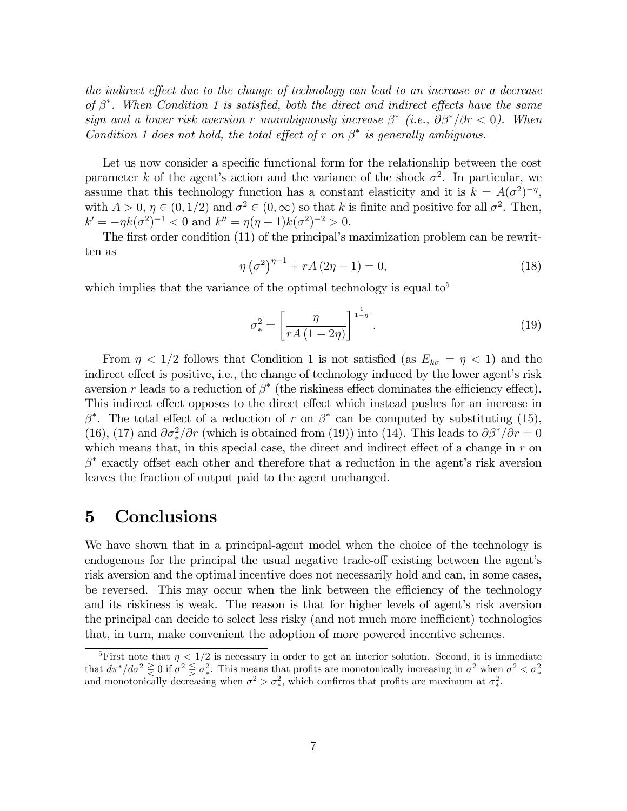the indirect effect due to the change of technology can lead to an increase or a decrease of  $\beta^*$ . When Condition 1 is satisfied, both the direct and indirect effects have the same sign and a lower risk aversion r unambiguously increase  $\beta^*$  (i.e.,  $\partial \beta^* / \partial r < 0$ ). When Condition 1 does not hold, the total effect of r on  $\beta^*$  is generally ambiguous.

Let us now consider a specific functional form for the relationship between the cost parameter k of the agent's action and the variance of the shock  $\sigma^2$ . In particular, we assume that this technology function has a constant elasticity and it is  $k = A(\sigma^2)^{-\eta}$ , with  $A > 0, \eta \in (0, 1/2)$  and  $\sigma^2 \in (0, \infty)$  so that k is finite and positive for all  $\sigma^2$ . Then,  $k' = -\eta k(\sigma^2)^{-1} < 0$  and  $k'' = \eta(\eta + 1)k(\sigma^2)^{-2} > 0$ .

The first order condition  $(11)$  of the principal's maximization problem can be rewritten as

$$
\eta\left(\sigma^2\right)^{\eta-1} + rA\left(2\eta - 1\right) = 0,\tag{18}
$$

which implies that the variance of the optimal technology is equal  $\text{to}^5$ 

$$
\sigma_*^2 = \left[\frac{\eta}{rA\left(1-2\eta\right)}\right]^{\frac{1}{1-\eta}}.\tag{19}
$$

From  $\eta$  < 1/2 follows that Condition 1 is not satisfied (as  $E_{k\sigma} = \eta < 1$ ) and the indirect effect is positive, i.e., the change of technology induced by the lower agent's risk aversion r leads to a reduction of  $\beta^*$  (the riskiness effect dominates the efficiency effect). This indirect effect opposes to the direct effect which instead pushes for an increase in  $\beta^*$ . The total effect of a reduction of r on  $\beta^*$  can be computed by substituting (15), (16), (17) and  $\partial \sigma_*^2 / \partial r$  (which is obtained from (19)) into (14). This leads to  $\partial \beta^* / \partial r = 0$ which means that, in this special case, the direct and indirect effect of a change in  $r$  on  $\beta^*$  exactly offset each other and therefore that a reduction in the agent's risk aversion leaves the fraction of output paid to the agent unchanged.

#### 5 Conclusions

We have shown that in a principal-agent model when the choice of the technology is endogenous for the principal the usual negative trade-off existing between the agent's risk aversion and the optimal incentive does not necessarily hold and can, in some cases, be reversed. This may occur when the link between the efficiency of the technology and its riskiness is weak. The reason is that for higher levels of agent's risk aversion the principal can decide to select less risky (and not much more inefficient) technologies that, in turn, make convenient the adoption of more powered incentive schemes.

<sup>&</sup>lt;sup>5</sup>First note that  $\eta < 1/2$  is necessary in order to get an interior solution. Second, it is immediate that  $d\pi^*/d\sigma^2 \geq 0$  if  $\sigma^2 \leq \sigma_*^2$ that  $d\pi^*/d\sigma^2 \geq 0$  if  $\sigma^2 \leq \sigma_*^2$ . This means that profits are monotonically increasing in  $\sigma^2$  when  $\sigma^2 < \sigma_*^2$  and monotonically decreasing when  $\sigma^2 > \sigma_*^2$ , which confirms that profits are maximum at  $\sigma_*^2$  $\frac{2}{*}$ .